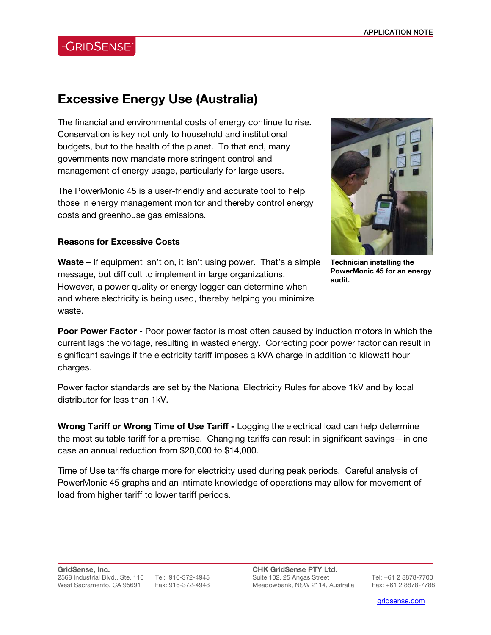## **-GRIDSENSE**

## **Excessive Energy Use (Australia)**

The financial and environmental costs of energy continue to rise. Conservation is key not only to household and institutional budgets, but to the health of the planet. To that end, many governments now mandate more stringent control and management of energy usage, particularly for large users.

The PowerMonic 45 is a user-friendly and accurate tool to help those in energy management monitor and thereby control energy costs and greenhouse gas emissions.



**Technician installing the PowerMonic 45 for an energy audit.** 

## **Reasons for Excessive Costs**

**Waste –** If equipment isn't on, it isn't using power. That's a simple message, but difficult to implement in large organizations. However, a power quality or energy logger can determine when and where electricity is being used, thereby helping you minimize waste.

**Poor Power Factor** - Poor power factor is most often caused by induction motors in which the current lags the voltage, resulting in wasted energy. Correcting poor power factor can result in significant savings if the electricity tariff imposes a kVA charge in addition to kilowatt hour charges.

Power factor standards are set by the National Electricity Rules for above 1kV and by local distributor for less than 1kV.

**Wrong Tariff or Wrong Time of Use Tariff -** Logging the electrical load can help determine the most suitable tariff for a premise. Changing tariffs can result in significant savings—in one case an annual reduction from \$20,000 to \$14,000.

Time of Use tariffs charge more for electricity used during peak periods. Careful analysis of PowerMonic 45 graphs and an intimate knowledge of operations may allow for movement of load from higher tariff to lower tariff periods.

**CHK GridSense PTY Ltd.**  Suite 102, 25 Angas Street Tel: +61 2 8878-7700 Meadowbank, NSW 2114, Australia Fax: +61 2 8878-7788

l

gridsense.com i de la companya de la companya de la companya de la companya de la companya de la companya de l